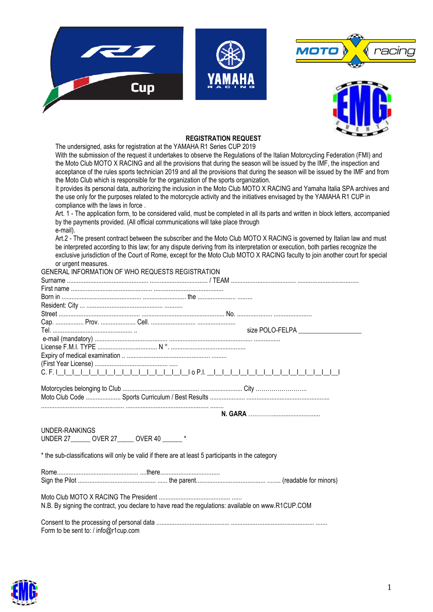





## **REGISTRATION REQUEST**

The undersigned, asks for registration at the YAMAHA R1 Series CUP 2019 With the submission of the request it undertakes to observe the Regulations of the Italian Motorcycling Federation (FMI) and the Moto Club MOTO X RACING and all the provisions that during the season will be issued by the IMF, the inspection and acceptance of the rules sports technician 2019 and all the provisions that during the season will be issued by the IMF and from the Moto Club which is responsible for the organization of the sports organization.

It provides its personal data, authorizing the inclusion in the Moto Club MOTO X RACING and Yamaha Italia SPA archives and the use only for the purposes related to the motorcycle activity and the initiatives envisaged by the YAMAHA R1 CUP in compliance with the laws in force .

Art. 1 - The application form, to be considered valid, must be completed in all its parts and written in block letters, accompanied by the payments provided. (All official communications will take place through e-mail).

Art.2 - The present contract between the subscriber and the Moto Club MOTO X RACING is governed by Italian law and must be interpreted according to this law; for any dispute deriving from its interpretation or execution, both parties recognize the exclusive jurisdiction of the Court of Rome, except for the Moto Club MOTO X RACING faculty to join another court for special or urgent measures.

|                |                                                 | GENERAL INFORMATION OF WHO REQUESTS REGISTRATION                                                   |
|----------------|-------------------------------------------------|----------------------------------------------------------------------------------------------------|
|                |                                                 |                                                                                                    |
|                |                                                 |                                                                                                    |
|                |                                                 |                                                                                                    |
|                |                                                 |                                                                                                    |
|                |                                                 |                                                                                                    |
|                |                                                 |                                                                                                    |
|                |                                                 | size POLO-FELPA ___________                                                                        |
|                |                                                 |                                                                                                    |
|                |                                                 |                                                                                                    |
|                |                                                 |                                                                                                    |
|                |                                                 |                                                                                                    |
|                |                                                 |                                                                                                    |
|                |                                                 |                                                                                                    |
|                |                                                 |                                                                                                    |
|                |                                                 |                                                                                                    |
|                |                                                 |                                                                                                    |
|                |                                                 |                                                                                                    |
| UNDER-RANKINGS | UNDER 27 _______ OVER 27 _____ OVER 40 ______ * |                                                                                                    |
|                |                                                 | * the sub-classifications will only be valid if there are at least 5 participants in the category  |
|                |                                                 |                                                                                                    |
|                |                                                 |                                                                                                    |
|                |                                                 |                                                                                                    |
|                |                                                 | N.B. By signing the contract, you declare to have read the regulations: available on www.R1CUP.COM |

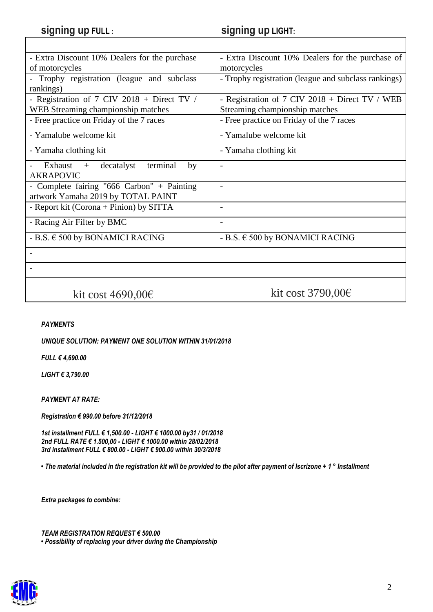| signing up FULL:                               | <b>Signing up LIGHT:</b>                             |  |
|------------------------------------------------|------------------------------------------------------|--|
|                                                |                                                      |  |
| - Extra Discount 10% Dealers for the purchase  | - Extra Discount 10% Dealers for the purchase of     |  |
| of motorcycles                                 | motorcycles                                          |  |
| Trophy registration (league and subclass       | - Trophy registration (league and subclass rankings) |  |
| rankings)                                      |                                                      |  |
| - Registration of 7 CIV 2018 + Direct TV /     | - Registration of 7 CIV 2018 + Direct TV / WEB       |  |
| WEB Streaming championship matches             | Streaming championship matches                       |  |
| - Free practice on Friday of the 7 races       | - Free practice on Friday of the 7 races             |  |
| - Yamalube welcome kit                         | - Yamalube welcome kit                               |  |
| - Yamaha clothing kit                          | - Yamaha clothing kit                                |  |
| decatalyst<br>terminal<br>Exhaust<br>by<br>$+$ | $\overline{\phantom{a}}$                             |  |
| <b>AKRAPOVIC</b>                               |                                                      |  |
| - Complete fairing "666 Carbon" + Painting     | $\overline{a}$                                       |  |
| artwork Yamaha 2019 by TOTAL PAINT             |                                                      |  |
| - Report kit (Corona + Pinion) by SITTA        | $\overline{\phantom{a}}$                             |  |
| - Racing Air Filter by BMC                     | $\overline{\phantom{a}}$                             |  |
| - B.S. $\in$ 500 by BONAMICI RACING            | - B.S. $\in$ 500 by BONAMICI RACING                  |  |
| $\overline{\phantom{a}}$                       |                                                      |  |
|                                                |                                                      |  |
|                                                |                                                      |  |
| kit cost $4690,00 \in$                         | kit cost $3790,00$ €                                 |  |

## *PAYMENTS*

*UNIQUE SOLUTION: PAYMENT ONE SOLUTION WITHIN 31/01/2018*

*FULL € 4,690.00*

*LIGHT € 3,790.00*

*PAYMENT AT RATE:*

*Registration € 990.00 before 31/12/2018*

*1st installment FULL € 1,500.00 - LIGHT € 1000.00 by31 / 01/2018 2nd FULL RATE € 1.500,00 - LIGHT € 1000.00 within 28/02/2018 3rd installment FULL € 800.00 - LIGHT € 900.00 within 30/3/2018*

*• The material included in the registration kit will be provided to the pilot after payment of Iscrizone + 1 ° Installment*

*Extra packages to combine:*

*TEAM REGISTRATION REQUEST € 500.00 • Possibility of replacing your driver during the Championship*